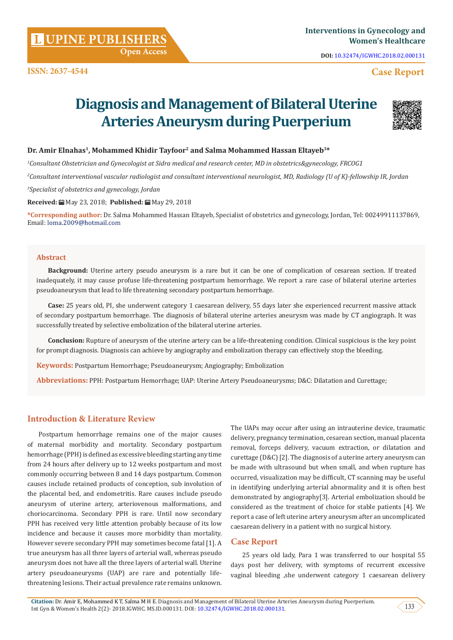**Citation:** Dr. Amir E, Mohammed K T, Salma M H E. Diagnosis and Management of Bilateral Uterine Arteries Aneurysm during Puerperium. Int Gyn & Women's Health 2(2)- 2018.IGWHC. MS.ID.000131. DOI: [10.32474/IGWHC.2018.02.000131](http://dx.doi.org/10.32474/IGWHC.2018.02.000131).

# **Open Access**

**DOI:** [10.32474/IGWHC.2018.02.000131](http://dx.doi.org/10.32474/IGWHC.2018.02.000131)

## **Case Report**

# **Diagnosis and Management of Bilateral Uterine Arteries Aneurysm during Puerperium**

### **Dr. Amir Elnahas1, Mohammed Khidir Tayfoor2 and Salma Mohammed Hassan Eltayeb3\***

*1 Consultant Obstetrician and Gynecologist at Sidra medical and research center, MD in obstetrics&gynecology, FRCOG1*

*2 Consultant interventional vascular radiologist and consultant interventional neurologist, MD, Radiology (U of K)-fellowship IR, Jordan*

*3 Specialist of obstetrics and gynecology, Jordan*

#### **Received:** May 23, 2018; **Published:** May 29, 2018

**\*Corresponding author:** Dr. Salma Mohammed Hassan Eltayeb, Specialist of obstetrics and gynecology, Jordan, Tel: 00249911137869, Email: loma.2009@hotmail.com

#### **Abstract**

**Background:** Uterine artery pseudo aneurysm is a rare but it can be one of complication of cesarean section. If treated inadequately, it may cause profuse life-threatening postpartum hemorrhage. We report a rare case of bilateral uterine arteries pseudoaneurysm that lead to life threatening secondary postpartum hemorrhage.

**Case:** 25 years old, PI, she underwent category 1 caesarean delivery, 55 days later she experienced recurrent massive attack of secondary postpartum hemorrhage. The diagnosis of bilateral uterine arteries aneurysm was made by CT angiograph. It was successfully treated by selective embolization of the bilateral uterine arteries.

**Conclusion:** Rupture of aneurysm of the uterine artery can be a life-threatening condition. Clinical suspicious is the key point for prompt diagnosis. Diagnosis can achieve by angiography and embolization therapy can effectively stop the bleeding.

**Keywords:** Postpartum Hemorrhage; Pseudoaneurysm; Angiography; Embolization

**Abbreviations:** PPH: Postpartum Hemorrhage; UAP: Uterine Artery Pseudoaneurysms; D&C: Dilatation and Curettage;

#### **Introduction & Literature Review**

Postpartum hemorrhage remains one of the major causes of maternal morbidity and mortality. Secondary postpartum hemorrhage (PPH) is defined as excessive bleeding starting any time from 24 hours after delivery up to 12 weeks postpartum and most commonly occurring between 8 and 14 days postpartum. Common causes include retained products of conception, sub involution of the placental bed, and endometritis. Rare causes include pseudo aneurysm of uterine artery, arteriovenous malformations, and choriocarcinoma. Secondary PPH is rare. Until now secondary PPH has received very little attention probably because of its low incidence and because it causes more morbidity than mortality. However severe secondary PPH may sometimes become fatal [1]. A true aneurysm has all three layers of arterial wall, whereas pseudo aneurysm does not have all the three layers of arterial wall. Uterine artery pseudoaneurysms (UAP) are rare and potentially lifethreatening lesions. Their actual prevalence rate remains unknown. The UAPs may occur after using an intrauterine device, traumatic delivery, pregnancy termination, cesarean section, manual placenta removal, forceps delivery, vacuum extraction, or dilatation and curettage (D&C) [2]. The diagnosis of a uterine artery aneurysm can be made with ultrasound but when small, and when rupture has occurred, visualization may be difficult, CT scanning may be useful in identifying underlying arterial abnormality and it is often best demonstrated by angiography[3]. Arterial embolization should be considered as the treatment of choice for stable patients [4]. We report a case of left uterine artery aneurysm after an uncomplicated caesarean delivery in a patient with no surgical history.

#### **Case Report**

25 years old lady, Para 1 was transferred to our hospital 55 days post her delivery, with symptoms of recurrent excessive vaginal bleeding ,she underwent category 1 caesarean delivery



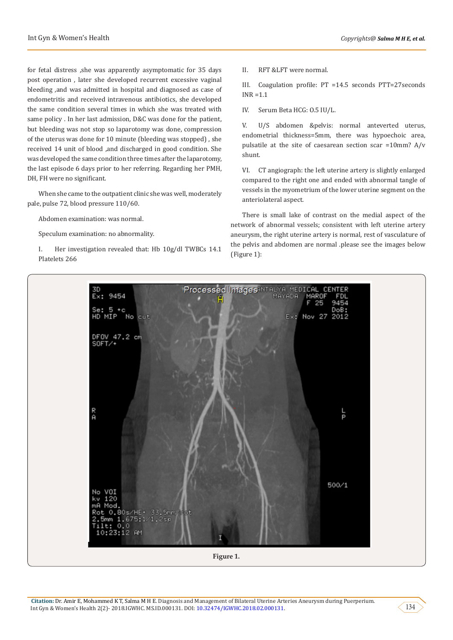for fetal distress ,she was apparently asymptomatic for 35 days post operation , later she developed recurrent excessive vaginal bleeding ,and was admitted in hospital and diagnosed as case of endometritis and received intravenous antibiotics, she developed the same condition several times in which she was treated with same policy . In her last admission, D&C was done for the patient, but bleeding was not stop so laparotomy was done, compression of the uterus was done for 10 minute (bleeding was stopped) , she received 14 unit of blood ,and discharged in good condition. She was developed the same condition three times after the laparotomy, the last episode 6 days prior to her referring. Regarding her PMH, DH, FH were no significant.

When she came to the outpatient clinic she was well, moderately pale, pulse 72, blood pressure 110/60.

Abdomen examination: was normal.

Speculum examination: no abnormality.

I. Her investigation revealed that: Hb 10g/dl TWBCs 14.1 Platelets 266

II. RFT &LFT were normal.

III. Coagulation profile: PT =14.5 seconds PTT=27seconds INR =1.1

IV. Serum Beta HCG: O.5 IU/L.

V. U/S abdomen &pelvis: normal anteverted uterus, endometrial thickness=5mm, there was hypoechoic area, pulsatile at the site of caesarean section scar =10mm? A/v shunt.

VI. CT angiograph: the left uterine artery is slightly enlarged compared to the right one and ended with abnormal tangle of vessels in the myometrium of the lower uterine segment on the anteriolateral aspect.

There is small lake of contrast on the medial aspect of the network of abnormal vessels; consistent with left uterine artery aneurysm, the right uterine artery is normal, rest of vasculature of the pelvis and abdomen are normal .please see the images below (Figure 1):

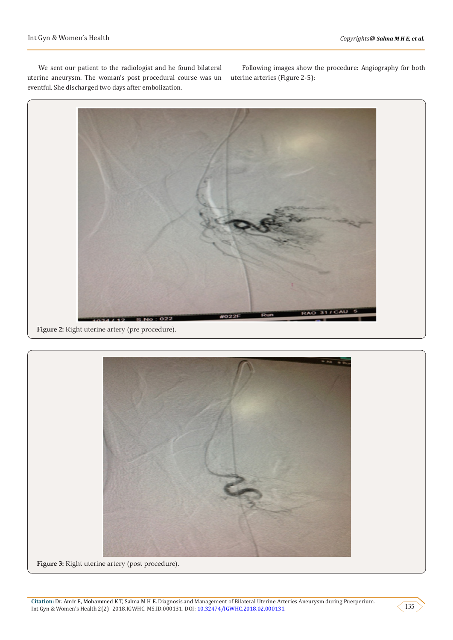We sent our patient to the radiologist and he found bilateral uterine aneurysm. The woman's post procedural course was un eventful. She discharged two days after embolization.

Following images show the procedure: Angiography for both uterine arteries (Figure 2-5):



**Figure 2:** Right uterine artery (pre procedure).



**Citation:** Dr. Amir E, Mohammed K T, Salma M H E. Diagnosis and Management of Bilateral Uterine Arteries Aneurysm during Puerperium. Int Gyn & Women's Health 2(2)- 2018.IGWHC. MS.ID.000131. DOI: [10.32474/IGWHC.2018.02.000131](http://dx.doi.org/10.32474/IGWHC.2018.02.000131).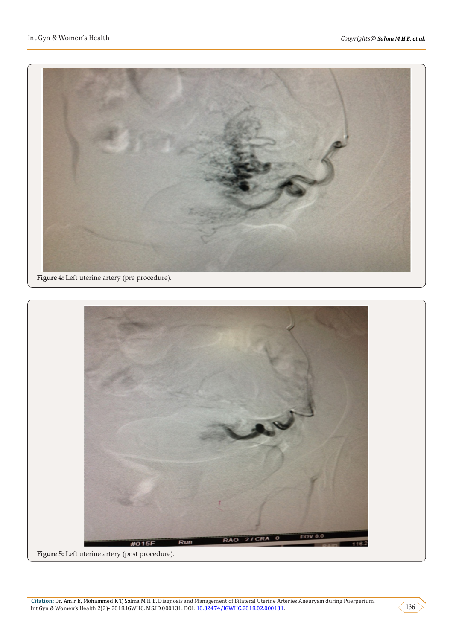



**Figure 5:** Left uterine artery (post procedure).